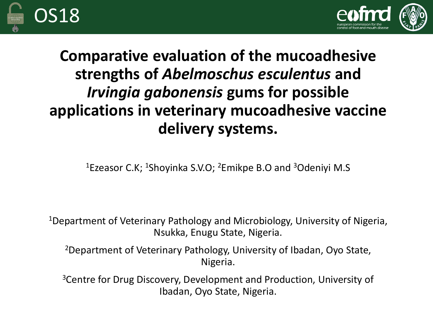



### **Comparative evaluation of the mucoadhesive strengths of** *Abelmoschus esculentus* **and**  *Irvingia gabonensis* **gums for possible applications in veterinary mucoadhesive vaccine delivery systems.**

<sup>1</sup>Ezeasor C.K; <sup>1</sup>Shoyinka S.V.O; <sup>2</sup>Emikpe B.O and <sup>3</sup>Odeniyi M.S

<sup>1</sup>Department of Veterinary Pathology and Microbiology, University of Nigeria, Nsukka, Enugu State, Nigeria.

<sup>2</sup>Department of Veterinary Pathology, University of Ibadan, Oyo State, Nigeria.

<sup>3</sup>Centre for Drug Discovery, Development and Production, University of Ibadan, Oyo State, Nigeria.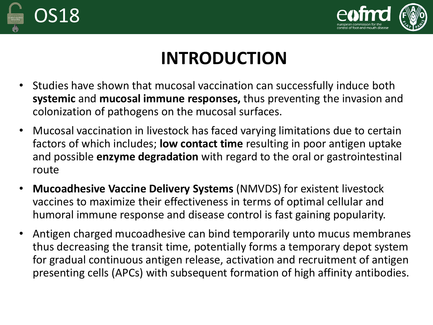



# **INTRODUCTION**

- Studies have shown that mucosal vaccination can successfully induce both **systemic** and **mucosal immune responses,** thus preventing the invasion and colonization of pathogens on the mucosal surfaces.
- Mucosal vaccination in livestock has faced varying limitations due to certain factors of which includes; **low contact time** resulting in poor antigen uptake and possible **enzyme degradation** with regard to the oral or gastrointestinal route
- **Mucoadhesive Vaccine Delivery Systems** (NMVDS) for existent livestock vaccines to maximize their effectiveness in terms of optimal cellular and humoral immune response and disease control is fast gaining popularity.
- Antigen charged mucoadhesive can bind temporarily unto mucus membranes thus decreasing the transit time, potentially forms a temporary depot system for gradual continuous antigen release, activation and recruitment of antigen presenting cells (APCs) with subsequent formation of high affinity antibodies.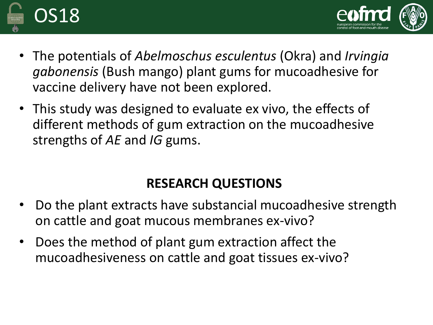



- The potentials of *Abelmoschus esculentus* (Okra) and *Irvingia gabonensis* (Bush mango) plant gums for mucoadhesive for vaccine delivery have not been explored.
- This study was designed to evaluate ex vivo, the effects of different methods of gum extraction on the mucoadhesive strengths of *AE* and *IG* gums.

### **RESEARCH QUESTIONS**

- Do the plant extracts have substancial mucoadhesive strength on cattle and goat mucous membranes ex-vivo?
- Does the method of plant gum extraction affect the mucoadhesiveness on cattle and goat tissues ex-vivo?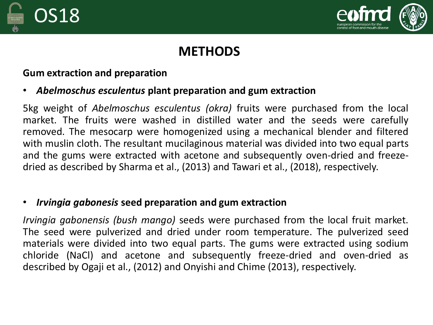



### **METHODS**

#### **Gum extraction and preparation**

#### • *Abelmoschus esculentus* **plant preparation and gum extraction**

5kg weight of *Abelmoschus esculentus (okra)* fruits were purchased from the local market. The fruits were washed in distilled water and the seeds were carefully removed. The mesocarp were homogenized using a mechanical blender and filtered with muslin cloth. The resultant mucilaginous material was divided into two equal parts and the gums were extracted with acetone and subsequently oven-dried and freezedried as described by Sharma et al., (2013) and Tawari et al., (2018), respectively.

#### • *Irvingia gabonesis* **seed preparation and gum extraction**

*Irvingia gabonensis (bush mango)* seeds were purchased from the local fruit market. The seed were pulverized and dried under room temperature. The pulverized seed materials were divided into two equal parts. The gums were extracted using sodium chloride (NaCl) and acetone and subsequently freeze-dried and oven-dried as described by Ogaji et al., (2012) and Onyishi and Chime (2013), respectively.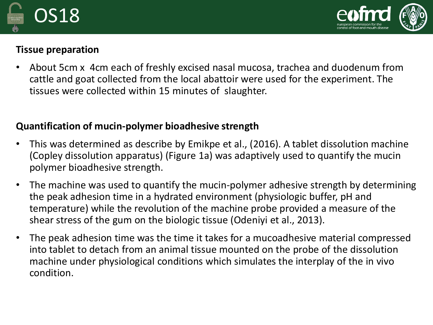



#### **Tissue preparation**

• About 5cm x 4cm each of freshly excised nasal mucosa, trachea and duodenum from cattle and goat collected from the local abattoir were used for the experiment. The tissues were collected within 15 minutes of slaughter.

#### **Quantification of mucin-polymer bioadhesive strength**

- This was determined as describe by Emikpe et al., (2016). A tablet dissolution machine (Copley dissolution apparatus) (Figure 1a) was adaptively used to quantify the mucin polymer bioadhesive strength.
- The machine was used to quantify the mucin-polymer adhesive strength by determining the peak adhesion time in a hydrated environment (physiologic buffer, pH and temperature) while the revolution of the machine probe provided a measure of the shear stress of the gum on the biologic tissue (Odeniyi et al., 2013).
- The peak adhesion time was the time it takes for a mucoadhesive material compressed into tablet to detach from an animal tissue mounted on the probe of the dissolution machine under physiological conditions which simulates the interplay of the in vivo condition.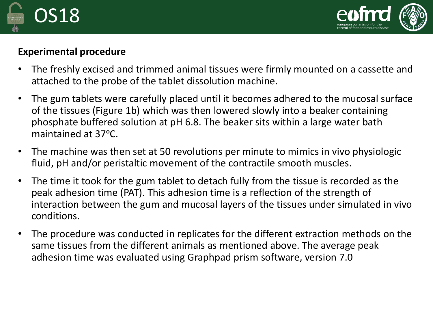



#### **Experimental procedure**

- The freshly excised and trimmed animal tissues were firmly mounted on a cassette and attached to the probe of the tablet dissolution machine.
- The gum tablets were carefully placed until it becomes adhered to the mucosal surface of the tissues (Figure 1b) which was then lowered slowly into a beaker containing phosphate buffered solution at pH 6.8. The beaker sits within a large water bath maintained at 37°C.
- The machine was then set at 50 revolutions per minute to mimics in vivo physiologic fluid, pH and/or peristaltic movement of the contractile smooth muscles.
- The time it took for the gum tablet to detach fully from the tissue is recorded as the peak adhesion time (PAT). This adhesion time is a reflection of the strength of interaction between the gum and mucosal layers of the tissues under simulated in vivo conditions.
- The procedure was conducted in replicates for the different extraction methods on the same tissues from the different animals as mentioned above. The average peak adhesion time was evaluated using Graphpad prism software, version 7.0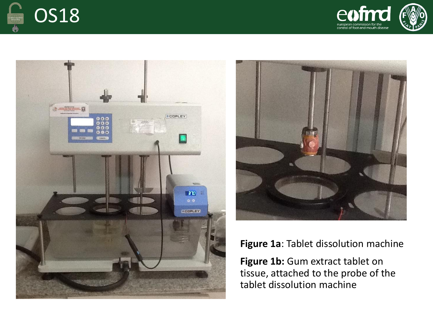







**Figure 1a**: Tablet dissolution machine

Figure 1b: Gum extract tablet on tissue, attached to the probe of the tablet dissolution machine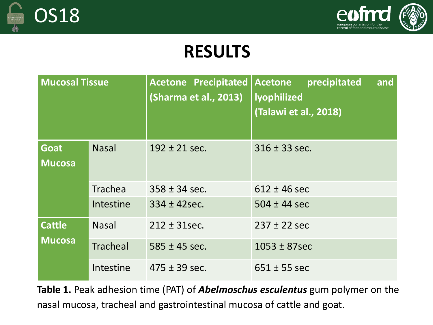



## **RESULTS**

| <b>Mucosal Tissue</b>          |                 | <b>Acetone Precipitated</b><br>(Sharma et al., 2013) | <b>Acetone</b><br>and<br>precipitated<br>lyophilized<br>(Talawi et al., 2018) |
|--------------------------------|-----------------|------------------------------------------------------|-------------------------------------------------------------------------------|
| <b>Goat</b><br><b>Mucosa</b>   | <b>Nasal</b>    | $192 \pm 21$ sec.                                    | $316 \pm 33$ sec.                                                             |
|                                | <b>Trachea</b>  | $358 \pm 34$ sec.                                    | $612 \pm 46$ sec                                                              |
|                                | Intestine       | $334 \pm 42$ sec.                                    | $504 \pm 44$ sec                                                              |
| <b>Cattle</b><br><b>Mucosa</b> | <b>Nasal</b>    | $212 \pm 31$ sec.                                    | $237 \pm 22$ sec                                                              |
|                                | <b>Tracheal</b> | $585 \pm 45$ sec.                                    | $1053 \pm 87$ sec                                                             |
|                                | Intestine       | $475 \pm 39$ sec.                                    | $651 \pm 55$ sec                                                              |

**Table 1.** Peak adhesion time (PAT) of *Abelmoschus esculentus* gum polymer on the nasal mucosa, tracheal and gastrointestinal mucosa of cattle and goat.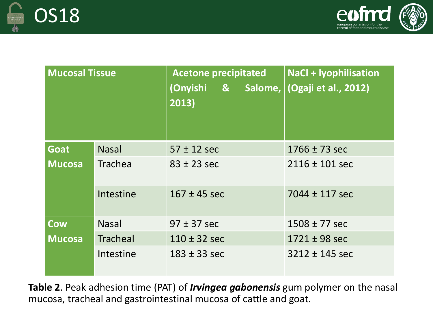



| <b>Mucosal Tissue</b> |                 | <b>Acetone precipitated</b><br>(Onyishi & Salome,<br>2013) | <b>NaCl + Iyophilisation</b><br>(Ogaji et al., 2012) |
|-----------------------|-----------------|------------------------------------------------------------|------------------------------------------------------|
| <b>Goat</b>           | <b>Nasal</b>    | $57 \pm 12$ sec                                            | $1766 \pm 73$ sec                                    |
| <b>Mucosa</b>         | <b>Trachea</b>  | $83 \pm 23$ sec                                            | $2116 \pm 101$ sec                                   |
|                       | Intestine       | $167 \pm 45$ sec                                           | $7044 \pm 117$ sec                                   |
| <b>Cow</b>            | <b>Nasal</b>    | $97 \pm 37$ sec                                            | $1508 \pm 77$ sec                                    |
| <b>Mucosa</b>         | <b>Tracheal</b> | $110 \pm 32$ sec                                           | $1721 \pm 98$ sec                                    |
|                       | Intestine       | $183 \pm 33$ sec                                           | $3212 \pm 145$ sec                                   |

**Table 2**. Peak adhesion time (PAT) of *Irvingea gabonensis* gum polymer on the nasal mucosa, tracheal and gastrointestinal mucosa of cattle and goat.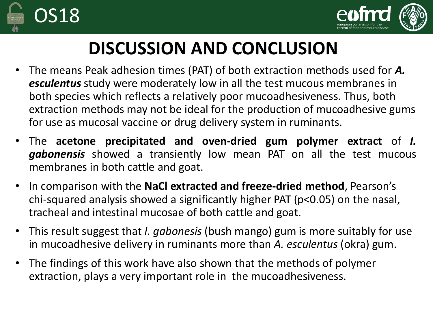



# **DISCUSSION AND CONCLUSION**

- The means Peak adhesion times (PAT) of both extraction methods used for *A. esculentus* study were moderately low in all the test mucous membranes in both species which reflects a relatively poor mucoadhesiveness. Thus, both extraction methods may not be ideal for the production of mucoadhesive gums for use as mucosal vaccine or drug delivery system in ruminants.
- The **acetone precipitated and oven-dried gum polymer extract** of *I. gabonensis* showed a transiently low mean PAT on all the test mucous membranes in both cattle and goat.
- In comparison with the **NaCl extracted and freeze-dried method**, Pearson's chi-squared analysis showed a significantly higher PAT (p<0.05) on the nasal, tracheal and intestinal mucosae of both cattle and goat.
- This result suggest that *I. gabonesis* (bush mango) gum is more suitably for use in mucoadhesive delivery in ruminants more than *A. esculentus* (okra) gum.
- The findings of this work have also shown that the methods of polymer extraction, plays a very important role in the mucoadhesiveness.